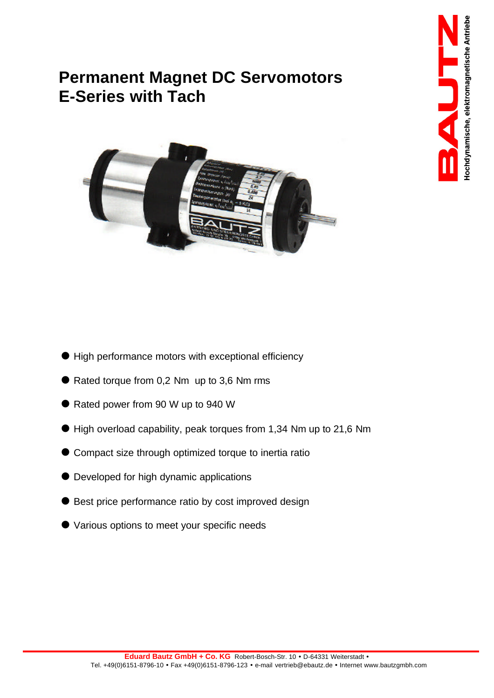# **Permanent Magnet DC Servomotors E-Series with Tach**



- $\bullet$  High performance motors with exceptional efficiency
- $\bullet$  Rated torque from 0,2 Nm up to 3,6 Nm rms
- Rated power from 90 W up to 940 W
- $\bullet$  High overload capability, peak torques from 1,34 Nm up to 21,6 Nm
- Compact size through optimized torque to inertia ratio
- $\bullet$  Developed for high dynamic applications
- Best price performance ratio by cost improved design
- Various options to meet your specific needs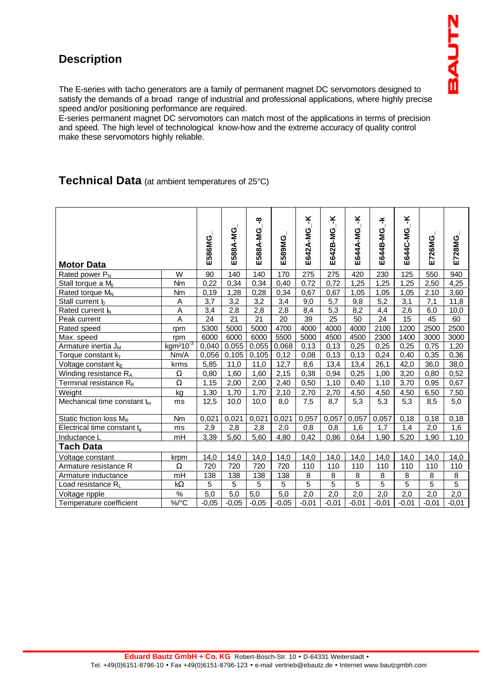# **Description**

The E-series with tacho generators are a family of permanent magnet DC servomotors designed to satisfy the demands of a broad range of industrial and professional applications, where highly precise speed and/or positioning performance are required.

E-series permanent magnet DC servomotors can match most of the applications in terms of precision and speed. The high level of technological know-how and the extreme accuracy of quality control make these servomotors highly reliable.

### **Technical Data** (at ambient temperatures of 25°C)

| <b>Motor Data</b>                       |                | E586MG           | E588A-MG         | ထို<br>E588A-MG  | E589MG          | ¥<br>E642A-MG   | ¥<br>E642B-MG  | ¥<br>E644A-MG   | ¥,<br>E644B-MG  | ¥<br>E644C-MG    | E726MG         | E728MG         |
|-----------------------------------------|----------------|------------------|------------------|------------------|-----------------|-----------------|----------------|-----------------|-----------------|------------------|----------------|----------------|
| Rated power $P_N$                       | W              | 90               | 140              | 140              | 170             | 275             | 275            | 420             | 230             | 125              | 550            | 940            |
| Stall torque a $M_0$                    | Nm             | 0,22             | 0.34             | 0.34             | 0.40            | 0.72            | 0,72           | 1.25            | 1,25            | 1,25             | 2,50           | 4,25           |
| Rated torque M <sub>N</sub>             | Nm             | 0, 19            | 1,28             | 0,28             | 0,34            | 0,67            | 0,67           | 1,05            | 1,05            | 1,05             | 2,10           | 3,60           |
| Stall current $I_0$                     | A              | $\overline{3,7}$ | $\overline{3,2}$ | $\overline{3,2}$ | 3,4             | 9,0             | 5,7            | 9,8             | 5,2             | $\overline{3,1}$ | 7,1            | 11,8           |
| Rated current $\mathsf{I}_{\mathsf{N}}$ | A              | 3,4              | 2,8              | 2,8              | 2,8             | 8,4             | 5,3            | 8,2             | 4,4             | 2,6              | 6,0            | 10,0           |
| Peak current                            | $\overline{A}$ | $\overline{24}$  | $\overline{21}$  | $\overline{21}$  | $\overline{20}$ | $\overline{39}$ | 25             | $\overline{50}$ | $\overline{24}$ | 15               | 45             | 60             |
| Rated speed                             | rpm            | 5300             | 5000             | 5000             | 4700            | 4000            | 4000           | 4000            | 2100            | 1200             | 2500           | 2500           |
| Max. speed                              | rpm            | 6000             | 6000             | 6000             | 5500            | 5000            | 4500           | 4500            | 2300            | 1400             | 3000           | 3000           |
| Armature inertia J <sub>M</sub>         | $kgm^210^{-3}$ | 0,040            | 0,055            | 0,055            | 0,068           | 0,13            | 0,13           | 0,25            | 0,25            | 0,25             | 0,75           | 1,20           |
| Torque constant $k_T$                   | Nm/A           | 0,056            | 0,105            | 0,105            | 0,12            | 0,08            | 0,13           | 0,13            | 0,24            | 0,40             | 0,35           | 0,36           |
| Voltage constant kE                     | krms           | 5,85             | 11,0             | 11,0             | 12,7            | 8,6             | 13,4           | 13,4            | 26,1            | 42,0             | 36,0           | 38,0           |
| Winding resistance RA                   | Ω              | 0,80             | 1,60             | 1,60             | 2,15            | 0,38            | 0,94           | 0,25            | 1,00            | 3,20             | 0,80           | 0,52           |
| Terminal resistance R <sub>K</sub>      | Ω              | 1,15             | 2,00             | 2,00             | 2,40            | 0,50            | 1,10           | 0,40            | 1,10            | 3,70             | 0.95           | 0,67           |
| Weight                                  | kg             | 1,30             | 1,70             | 1,70             | 2,10            | 2,70            | 2,70           | 4,50            | 4,50            | 4,50             | 6,50           | 7,50           |
| Mechanical time constant $t_m$          | ms             | 12,5             | 10,0             | 10,0             | 8,0             | 7,5             | 8,7            | 5,3             | 5,3             | 5,3              | 8,5            | 5,0            |
| Static friction loss $M_R$              | Nm             | 0,021            | 0,021            | 0,021            | 0,021           | 0,057           | 0,057          | 0,057           | 0,057           | 0,18             | 0,18           | 0,18           |
| Electrical time constant te             | ms             | 2,9              | 2,8              | 2,8              | 2,0             | 0,8             | 0,8            | 1,6             | 1,7             | 1,4              | 2,0            | 1,6            |
| Inductance L                            | mH             | 3,39             | 5,60             | 5,60             | 4,80            | 0,42            | 0,86           | 0,64            | 1,90            | 5,20             | 1,90           | 1.10           |
| <b>Tach Data</b>                        |                |                  |                  |                  |                 |                 |                |                 |                 |                  |                |                |
| Voltage constant                        | krpm           | 14,0             | 14,0             | 14,0             | 14,0            | 14,0            | 14,0           | 14,0            | 14,0            | 14,0             | 14,0           | 14,0           |
| Armature resistance R                   | Ω              | 720              | 720              | 720              | 720             | 110             | 110            | 110             | 110             | 110              | 110            | 110            |
| Armature inductance                     | mH             | 138              | 138              | 138              | 138             | 8               | 8              | 8               | 8               | 8                | 8              | 8              |
| Load resistance RL                      | $k\Omega$      | 5                | 5                | 5                | $\overline{5}$  | $\overline{5}$  | $\overline{5}$ | $\overline{5}$  | $\overline{5}$  | 5                | $\overline{5}$ | $\overline{5}$ |
| Voltage ripple                          | $\%$           | 5,0              | 5,0              | 5,0              | 5,0             | 2,0             | 2,0            | 2,0             | 2,0             | 2,0              | 2,0            | 2,0            |
| Temperature coefficient                 | $\%$ /°C       | $-0,05$          | $-0,05$          | $-0,05$          | $-0,05$         | $-0,01$         | $-0,01$        | $-0,01$         | $-0,01$         | $-0,01$          | $-0,01$        | $-0,01$        |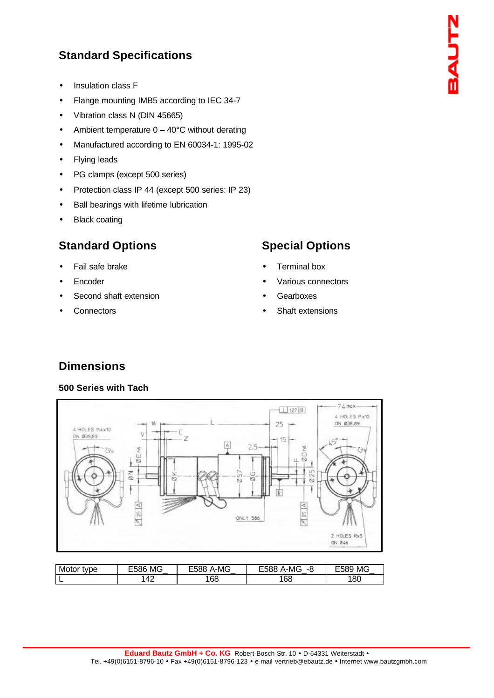# **Standard Specifications**

- Insulation class F
- Flange mounting IMB5 according to IEC 34-7
- Vibration class N (DIN 45665)
- Ambient temperature  $0 40^{\circ}$ C without derating
- Manufactured according to EN 60034-1: 1995-02
- Flying leads
- PG clamps (except 500 series)
- Protection class IP 44 (except 500 series: IP 23)
- Ball bearings with lifetime lubrication
- **Black coating**

# **Standard Options**

- Fail safe brake
- **Encoder**
- Second shaft extension
- **Connectors**

## **Special Options**

- Terminal box
- Various connectors
- **Gearboxes**
- Shaft extensions

# **Dimensions**

### **500 Series with Tach**



| Motor<br>tvpe | <b>MG</b><br>או האלי<br>$\sim$ | A-MG<br>אאי | A-MG<br>∽<br>אאנ<br>$-2$<br>u | <b>MG</b><br>⊢589 |
|---------------|--------------------------------|-------------|-------------------------------|-------------------|
| L             | $\Lambda$<br>т∠.               | 168         | 68                            | 180               |